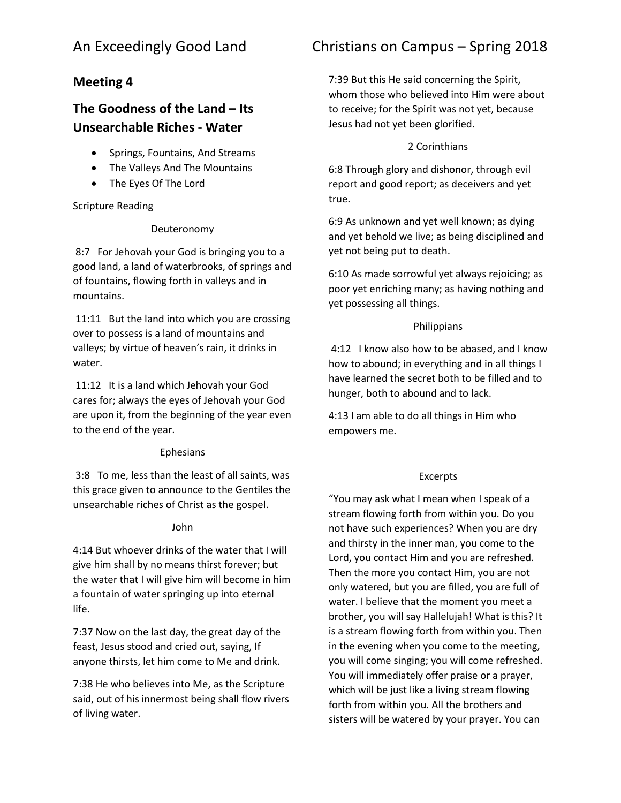## **Meeting 4**

# **The Goodness of the Land – Its Unsearchable Riches - Water**

- Springs, Fountains, And Streams
- The Valleys And The Mountains
- The Eyes Of The Lord

## Scripture Reading

## Deuteronomy

8:7 For Jehovah your God is bringing you to a good land, a land of waterbrooks, of springs and of fountains, flowing forth in valleys and in mountains.

11:11 But the land into which you are crossing over to possess is a land of mountains and valleys; by virtue of heaven's rain, it drinks in water.

11:12 It is a land which Jehovah your God cares for; always the eyes of Jehovah your God are upon it, from the beginning of the year even to the end of the year.

## Ephesians

3:8 To me, less than the least of all saints, was this grace given to announce to the Gentiles the unsearchable riches of Christ as the gospel.

## John

4:14 But whoever drinks of the water that I will give him shall by no means thirst forever; but the water that I will give him will become in him a fountain of water springing up into eternal life.

7:37 Now on the last day, the great day of the feast, Jesus stood and cried out, saying, If anyone thirsts, let him come to Me and drink.

7:38 He who believes into Me, as the Scripture said, out of his innermost being shall flow rivers of living water.

# An Exceedingly Good Land Christians on Campus – Spring 2018

7:39 But this He said concerning the Spirit, whom those who believed into Him were about to receive; for the Spirit was not yet, because Jesus had not yet been glorified.

## 2 Corinthians

6:8 Through glory and dishonor, through evil report and good report; as deceivers and yet true.

6:9 As unknown and yet well known; as dying and yet behold we live; as being disciplined and yet not being put to death.

6:10 As made sorrowful yet always rejoicing; as poor yet enriching many; as having nothing and yet possessing all things.

## Philippians

4:12 I know also how to be abased, and I know how to abound; in everything and in all things I have learned the secret both to be filled and to hunger, both to abound and to lack.

4:13 I am able to do all things in Him who empowers me.

## Excerpts

"You may ask what I mean when I speak of a stream flowing forth from within you. Do you not have such experiences? When you are dry and thirsty in the inner man, you come to the Lord, you contact Him and you are refreshed. Then the more you contact Him, you are not only watered, but you are filled, you are full of water. I believe that the moment you meet a brother, you will say Hallelujah! What is this? It is a stream flowing forth from within you. Then in the evening when you come to the meeting, you will come singing; you will come refreshed. You will immediately offer praise or a prayer, which will be just like a living stream flowing forth from within you. All the brothers and sisters will be watered by your prayer. You can